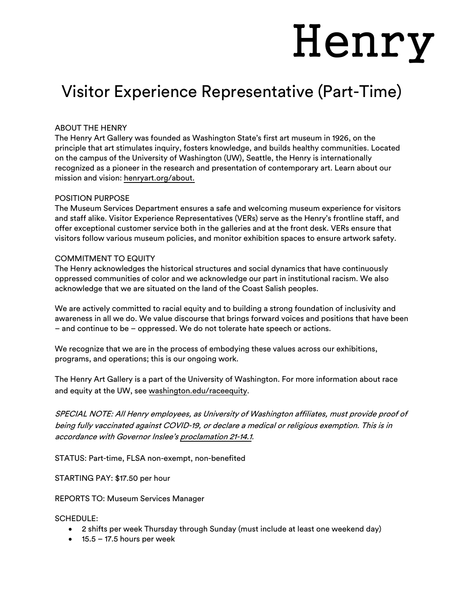# Henry

# Visitor Experience Representative (Part-Time)

# ABOUT THE HENRY

The Henry Art Gallery was founded as Washington State's first art museum in 1926, on the principle that art stimulates inquiry, fosters knowledge, and builds healthy communities. Located on the campus of the University of Washington (UW), Seattle, the Henry is internationally recognized as a pioneer in the research and presentation of contemporary art. Learn about our mission and vision: henryart.org/about.

## POSITION PURPOSE

The Museum Services Department ensures a safe and welcoming museum experience for visitors and staff alike. Visitor Experience Representatives (VERs) serve as the Henry's frontline staff, and offer exceptional customer service both in the galleries and at the front desk. VERs ensure that visitors follow various museum policies, and monitor exhibition spaces to ensure artwork safety.

## COMMITMENT TO EQUITY

The Henry acknowledges the historical structures and social dynamics that have continuously oppressed communities of color and we acknowledge our part in institutional racism. We also acknowledge that we are situated on the land of the Coast Salish peoples.

We are actively committed to racial equity and to building a strong foundation of inclusivity and awareness in all we do. We value discourse that brings forward voices and positions that have been – and continue to be – oppressed. We do not tolerate hate speech or actions.

We recognize that we are in the process of embodying these values across our exhibitions, programs, and operations; this is our ongoing work.

The Henry Art Gallery is a part of the University of Washington. For more information about race and equity at the UW, see washington.edu/raceequity.

SPECIAL NOTE: All Henry employees, as University of Washington affiliates, must provide proof of being fully vaccinated against COVID-19, or declare a medical or religious exemption. This is in accordance with Governor Inslee's proclamation 21-14.1.

STATUS: Part-time, FLSA non-exempt, non-benefited

STARTING PAY: \$17.50 per hour

REPORTS TO: Museum Services Manager

#### SCHEDULE:

- 2 shifts per week Thursday through Sunday (must include at least one weekend day)
- $\bullet$  15.5 17.5 hours per week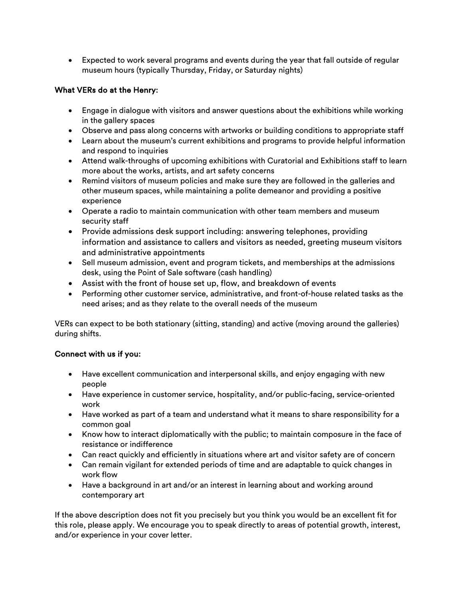• Expected to work several programs and events during the year that fall outside of regular museum hours (typically Thursday, Friday, or Saturday nights)

# What VERs do at the Henry:

- Engage in dialogue with visitors and answer questions about the exhibitions while working in the gallery spaces
- Observe and pass along concerns with artworks or building conditions to appropriate staff
- Learn about the museum's current exhibitions and programs to provide helpful information and respond to inquiries
- Attend walk-throughs of upcoming exhibitions with Curatorial and Exhibitions staff to learn more about the works, artists, and art safety concerns
- Remind visitors of museum policies and make sure they are followed in the galleries and other museum spaces, while maintaining a polite demeanor and providing a positive experience
- Operate a radio to maintain communication with other team members and museum security staff
- Provide admissions desk support including: answering telephones, providing information and assistance to callers and visitors as needed, greeting museum visitors and administrative appointments
- Sell museum admission, event and program tickets, and memberships at the admissions desk, using the Point of Sale software (cash handling)
- Assist with the front of house set up, flow, and breakdown of events
- Performing other customer service, administrative, and front-of-house related tasks as the need arises; and as they relate to the overall needs of the museum

VERs can expect to be both stationary (sitting, standing) and active (moving around the galleries) during shifts.

# Connect with us if you:

- Have excellent communication and interpersonal skills, and enjoy engaging with new people
- Have experience in customer service, hospitality, and/or public-facing, service-oriented work
- Have worked as part of a team and understand what it means to share responsibility for a common goal
- Know how to interact diplomatically with the public; to maintain composure in the face of resistance or indifference
- Can react quickly and efficiently in situations where art and visitor safety are of concern
- Can remain vigilant for extended periods of time and are adaptable to quick changes in work flow
- Have a background in art and/or an interest in learning about and working around contemporary art

If the above description does not fit you precisely but you think you would be an excellent fit for this role, please apply. We encourage you to speak directly to areas of potential growth, interest, and/or experience in your cover letter.